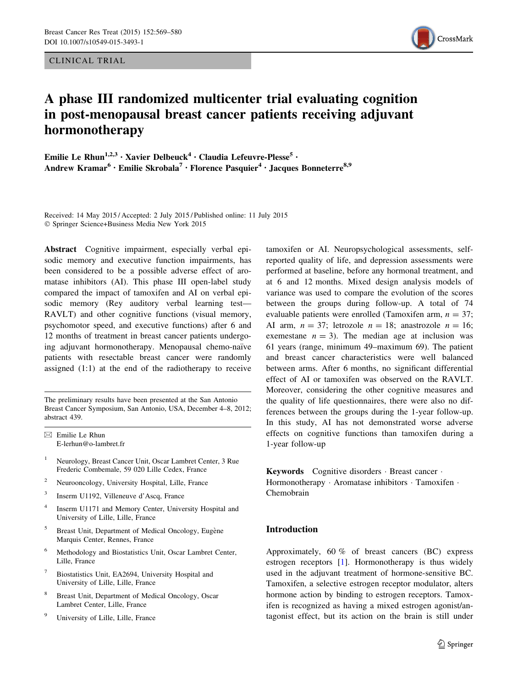CLINICAL TRIAL



# A phase III randomized multicenter trial evaluating cognition in post-menopausal breast cancer patients receiving adjuvant hormonotherapy

Emilie Le Rhun<sup>1,2,3</sup> · Xavier Delbeuck<sup>4</sup> · Claudia Lefeuvre-Plesse<sup>5</sup> · Andrew Kramar<sup>6</sup> · Emilie Skrobala<sup>7</sup> · Florence Pasquier<sup>4</sup> · Jacques Bonneterre<sup>8,9</sup>

Received: 14 May 2015 / Accepted: 2 July 2015 / Published online: 11 July 2015 - Springer Science+Business Media New York 2015

Abstract Cognitive impairment, especially verbal episodic memory and executive function impairments, has been considered to be a possible adverse effect of aromatase inhibitors (AI). This phase III open-label study compared the impact of tamoxifen and AI on verbal episodic memory (Rey auditory verbal learning test— RAVLT) and other cognitive functions (visual memory, psychomotor speed, and executive functions) after 6 and 12 months of treatment in breast cancer patients undergoing adjuvant hormonotherapy. Menopausal chemo-naïve patients with resectable breast cancer were randomly assigned (1:1) at the end of the radiotherapy to receive

The preliminary results have been presented at the San Antonio Breast Cancer Symposium, San Antonio, USA, December 4–8, 2012; abstract 439.

- <sup>1</sup> Neurology, Breast Cancer Unit, Oscar Lambret Center, 3 Rue Frederic Combemale, 59 020 Lille Cedex, France
- <sup>2</sup> Neurooncology, University Hospital, Lille, France
- <sup>3</sup> Inserm U1192, Villeneuve d'Ascq, France
- <sup>4</sup> Inserm U1171 and Memory Center, University Hospital and University of Lille, Lille, France
- <sup>5</sup> Breast Unit, Department of Medical Oncology, Eugène Marquis Center, Rennes, France
- <sup>6</sup> Methodology and Biostatistics Unit, Oscar Lambret Center, Lille, France
- Biostatistics Unit, EA2694, University Hospital and University of Lille, Lille, France
- <sup>8</sup> Breast Unit, Department of Medical Oncology, Oscar Lambret Center, Lille, France
- University of Lille, Lille, France

tamoxifen or AI. Neuropsychological assessments, selfreported quality of life, and depression assessments were performed at baseline, before any hormonal treatment, and at 6 and 12 months. Mixed design analysis models of variance was used to compare the evolution of the scores between the groups during follow-up. A total of 74 evaluable patients were enrolled (Tamoxifen arm,  $n = 37$ ; AI arm,  $n = 37$ ; letrozole  $n = 18$ ; anastrozole  $n = 16$ ; exemestane  $n = 3$ ). The median age at inclusion was 61 years (range, minimum 49–maximum 69). The patient and breast cancer characteristics were well balanced between arms. After 6 months, no significant differential effect of AI or tamoxifen was observed on the RAVLT. Moreover, considering the other cognitive measures and the quality of life questionnaires, there were also no differences between the groups during the 1-year follow-up. In this study, AI has not demonstrated worse adverse effects on cognitive functions than tamoxifen during a 1-year follow-up

Keywords Cognitive disorders · Breast cancer · Hormonotherapy · Aromatase inhibitors · Tamoxifen · Chemobrain

## Introduction

Approximately, 60 % of breast cancers (BC) express estrogen receptors [[1\]](#page-9-0). Hormonotherapy is thus widely used in the adjuvant treatment of hormone-sensitive BC. Tamoxifen, a selective estrogen receptor modulator, alters hormone action by binding to estrogen receptors. Tamoxifen is recognized as having a mixed estrogen agonist/antagonist effect, but its action on the brain is still under

 $\boxtimes$  Emilie Le Rhun E-lerhun@o-lambret.fr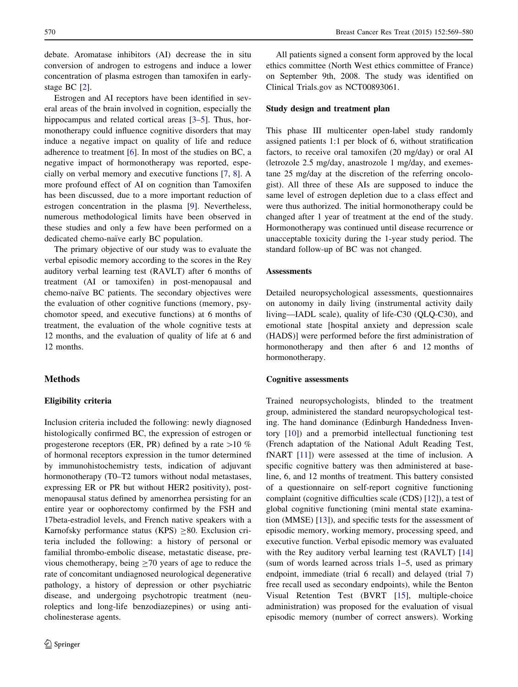debate. Aromatase inhibitors (AI) decrease the in situ conversion of androgen to estrogens and induce a lower concentration of plasma estrogen than tamoxifen in earlystage BC [[2\]](#page-9-0).

Estrogen and AI receptors have been identified in several areas of the brain involved in cognition, especially the hippocampus and related cortical areas [[3–5\]](#page-10-0). Thus, hormonotherapy could influence cognitive disorders that may induce a negative impact on quality of life and reduce adherence to treatment  $[6]$  $[6]$ . In most of the studies on BC, a negative impact of hormonotherapy was reported, especially on verbal memory and executive functions [\[7](#page-10-0), [8\]](#page-10-0). A more profound effect of AI on cognition than Tamoxifen has been discussed, due to a more important reduction of estrogen concentration in the plasma [[9\]](#page-10-0). Nevertheless, numerous methodological limits have been observed in these studies and only a few have been performed on a dedicated chemo-naïve early BC population.

The primary objective of our study was to evaluate the verbal episodic memory according to the scores in the Rey auditory verbal learning test (RAVLT) after 6 months of treatment (AI or tamoxifen) in post-menopausal and chemo-naïve BC patients. The secondary objectives were the evaluation of other cognitive functions (memory, psychomotor speed, and executive functions) at 6 months of treatment, the evaluation of the whole cognitive tests at 12 months, and the evaluation of quality of life at 6 and 12 months.

## Methods

## Eligibility criteria

Inclusion criteria included the following: newly diagnosed histologically confirmed BC, the expression of estrogen or progesterone receptors (ER, PR) defined by a rate  $>10 \%$ of hormonal receptors expression in the tumor determined by immunohistochemistry tests, indication of adjuvant hormonotherapy (T0–T2 tumors without nodal metastases, expressing ER or PR but without HER2 positivity), postmenopausal status defined by amenorrhea persisting for an entire year or oophorectomy confirmed by the FSH and 17beta-estradiol levels, and French native speakers with a Karnofsky performance status (KPS)  $\geq 80$ . Exclusion criteria included the following: a history of personal or familial thrombo-embolic disease, metastatic disease, previous chemotherapy, being  $\geq$  70 years of age to reduce the rate of concomitant undiagnosed neurological degenerative pathology, a history of depression or other psychiatric disease, and undergoing psychotropic treatment (neuroleptics and long-life benzodiazepines) or using anticholinesterase agents.

All patients signed a consent form approved by the local ethics committee (North West ethics committee of France) on September 9th, 2008. The study was identified on Clinical Trials.gov as NCT00893061.

### Study design and treatment plan

This phase III multicenter open-label study randomly assigned patients 1:1 per block of 6, without stratification factors, to receive oral tamoxifen (20 mg/day) or oral AI (letrozole 2.5 mg/day, anastrozole 1 mg/day, and exemestane 25 mg/day at the discretion of the referring oncologist). All three of these AIs are supposed to induce the same level of estrogen depletion due to a class effect and were thus authorized. The initial hormonotherapy could be changed after 1 year of treatment at the end of the study. Hormonotherapy was continued until disease recurrence or unacceptable toxicity during the 1-year study period. The standard follow-up of BC was not changed.

#### Assessments

Detailed neuropsychological assessments, questionnaires on autonomy in daily living (instrumental activity daily living—IADL scale), quality of life-C30 (QLQ-C30), and emotional state [hospital anxiety and depression scale (HADS)] were performed before the first administration of hormonotherapy and then after 6 and 12 months of hormonotherapy.

#### Cognitive assessments

Trained neuropsychologists, blinded to the treatment group, administered the standard neuropsychological testing. The hand dominance (Edinburgh Handedness Inventory [[10\]](#page-10-0)) and a premorbid intellectual functioning test (French adaptation of the National Adult Reading Test, fNART [[11\]](#page-10-0)) were assessed at the time of inclusion. A specific cognitive battery was then administered at baseline, 6, and 12 months of treatment. This battery consisted of a questionnaire on self-report cognitive functioning complaint (cognitive difficulties scale (CDS) [\[12](#page-10-0)]), a test of global cognitive functioning (mini mental state examination (MMSE) [[13](#page-10-0)]), and specific tests for the assessment of episodic memory, working memory, processing speed, and executive function. Verbal episodic memory was evaluated with the Rey auditory verbal learning test (RAVLT) [[14\]](#page-10-0) (sum of words learned across trials 1–5, used as primary endpoint, immediate (trial 6 recall) and delayed (trial 7) free recall used as secondary endpoints), while the Benton Visual Retention Test (BVRT [[15\]](#page-10-0), multiple-choice administration) was proposed for the evaluation of visual episodic memory (number of correct answers). Working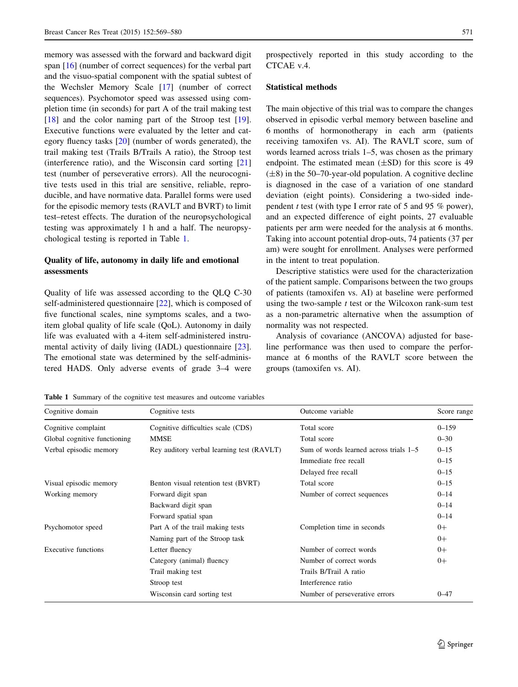memory was assessed with the forward and backward digit span [\[16](#page-10-0)] (number of correct sequences) for the verbal part and the visuo-spatial component with the spatial subtest of the Wechsler Memory Scale [\[17](#page-10-0)] (number of correct sequences). Psychomotor speed was assessed using completion time (in seconds) for part A of the trail making test [\[18](#page-10-0)] and the color naming part of the Stroop test [\[19](#page-10-0)]. Executive functions were evaluated by the letter and category fluency tasks [\[20](#page-10-0)] (number of words generated), the trail making test (Trails B/Trails A ratio), the Stroop test (interference ratio), and the Wisconsin card sorting [[21\]](#page-10-0) test (number of perseverative errors). All the neurocognitive tests used in this trial are sensitive, reliable, reproducible, and have normative data. Parallel forms were used for the episodic memory tests (RAVLT and BVRT) to limit test–retest effects. The duration of the neuropsychological testing was approximately 1 h and a half. The neuropsychological testing is reported in Table 1.

## Quality of life, autonomy in daily life and emotional assessments

Quality of life was assessed according to the QLQ C-30 self-administered questionnaire [\[22](#page-10-0)], which is composed of five functional scales, nine symptoms scales, and a twoitem global quality of life scale (QoL). Autonomy in daily life was evaluated with a 4-item self-administered instrumental activity of daily living (IADL) questionnaire [\[23](#page-10-0)]. The emotional state was determined by the self-administered HADS. Only adverse events of grade 3–4 were prospectively reported in this study according to the CTCAE v.4.

#### Statistical methods

The main objective of this trial was to compare the changes observed in episodic verbal memory between baseline and 6 months of hormonotherapy in each arm (patients receiving tamoxifen vs. AI). The RAVLT score, sum of words learned across trials 1–5, was chosen as the primary endpoint. The estimated mean  $(\pm SD)$  for this score is 49  $(\pm 8)$  in the 50–70-year-old population. A cognitive decline is diagnosed in the case of a variation of one standard deviation (eight points). Considering a two-sided independent t test (with type I error rate of 5 and 95  $%$  power), and an expected difference of eight points, 27 evaluable patients per arm were needed for the analysis at 6 months. Taking into account potential drop-outs, 74 patients (37 per am) were sought for enrollment. Analyses were performed in the intent to treat population.

Descriptive statistics were used for the characterization of the patient sample. Comparisons between the two groups of patients (tamoxifen vs. AI) at baseline were performed using the two-sample  $t$  test or the Wilcoxon rank-sum test as a non-parametric alternative when the assumption of normality was not respected.

Analysis of covariance (ANCOVA) adjusted for baseline performance was then used to compare the performance at 6 months of the RAVLT score between the groups (tamoxifen vs. AI).

Table 1 Summary of the cognitive test measures and outcome variables

| Cognitive domain             | Cognitive tests                           | Outcome variable                         | Score range |
|------------------------------|-------------------------------------------|------------------------------------------|-------------|
| Cognitive complaint          | Cognitive difficulties scale (CDS)        | Total score                              | $0 - 159$   |
| Global cognitive functioning | <b>MMSE</b>                               | Total score                              | $0 - 30$    |
| Verbal episodic memory       | Rey auditory verbal learning test (RAVLT) | Sum of words learned across trials $1-5$ | $0 - 15$    |
|                              |                                           | Immediate free recall                    | $0 - 15$    |
|                              |                                           | Delayed free recall                      | $0 - 15$    |
| Visual episodic memory       | Benton visual retention test (BVRT)       | Total score                              | $0 - 15$    |
| Working memory               | Forward digit span                        | Number of correct sequences              | $0 - 14$    |
|                              | Backward digit span                       |                                          | $0 - 14$    |
|                              | Forward spatial span                      |                                          | $0 - 14$    |
| Psychomotor speed            | Part A of the trail making tests          | Completion time in seconds               | $0+$        |
|                              | Naming part of the Stroop task            |                                          | $0+$        |
| Executive functions          | Letter fluency                            | Number of correct words                  | $0+$        |
|                              | Category (animal) fluency                 | Number of correct words                  | $0+$        |
|                              | Trail making test                         | Trails B/Trail A ratio                   |             |
|                              | Stroop test                               | Interference ratio                       |             |
|                              | Wisconsin card sorting test               | Number of perseverative errors           | $0 - 47$    |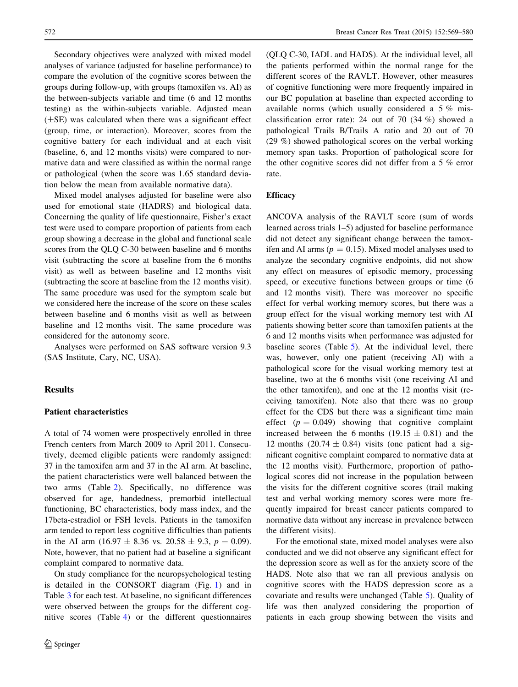Secondary objectives were analyzed with mixed model analyses of variance (adjusted for baseline performance) to compare the evolution of the cognitive scores between the groups during follow-up, with groups (tamoxifen vs. AI) as the between-subjects variable and time (6 and 12 months testing) as the within-subjects variable. Adjusted mean  $(\pm SE)$  was calculated when there was a significant effect (group, time, or interaction). Moreover, scores from the cognitive battery for each individual and at each visit (baseline, 6, and 12 months visits) were compared to normative data and were classified as within the normal range or pathological (when the score was 1.65 standard deviation below the mean from available normative data).

Mixed model analyses adjusted for baseline were also used for emotional state (HADRS) and biological data. Concerning the quality of life questionnaire, Fisher's exact test were used to compare proportion of patients from each group showing a decrease in the global and functional scale scores from the QLQ C-30 between baseline and 6 months visit (subtracting the score at baseline from the 6 months visit) as well as between baseline and 12 months visit (subtracting the score at baseline from the 12 months visit). The same procedure was used for the symptom scale but we considered here the increase of the score on these scales between baseline and 6 months visit as well as between baseline and 12 months visit. The same procedure was considered for the autonomy score.

Analyses were performed on SAS software version 9.3 (SAS Institute, Cary, NC, USA).

## **Results**

#### Patient characteristics

A total of 74 women were prospectively enrolled in three French centers from March 2009 to April 2011. Consecutively, deemed eligible patients were randomly assigned: 37 in the tamoxifen arm and 37 in the AI arm. At baseline, the patient characteristics were well balanced between the two arms (Table [2\)](#page-4-0). Specifically, no difference was observed for age, handedness, premorbid intellectual functioning, BC characteristics, body mass index, and the 17beta-estradiol or FSH levels. Patients in the tamoxifen arm tended to report less cognitive difficulties than patients in the AI arm (16.97  $\pm$  8.36 vs. 20.58  $\pm$  9.3,  $p = 0.09$ ). Note, however, that no patient had at baseline a significant complaint compared to normative data.

On study compliance for the neuropsychological testing is detailed in the CONSORT diagram (Fig. [1\)](#page-5-0) and in Table [3](#page-5-0) for each test. At baseline, no significant differences were observed between the groups for the different cognitive scores (Table [4](#page-6-0)) or the different questionnaires (QLQ C-30, IADL and HADS). At the individual level, all the patients performed within the normal range for the different scores of the RAVLT. However, other measures of cognitive functioning were more frequently impaired in our BC population at baseline than expected according to available norms (which usually considered a 5 % misclassification error rate): 24 out of 70 (34 %) showed a pathological Trails B/Trails A ratio and 20 out of 70 (29 %) showed pathological scores on the verbal working memory span tasks. Proportion of pathological score for the other cognitive scores did not differ from a 5 % error rate.

#### **Efficacy**

ANCOVA analysis of the RAVLT score (sum of words learned across trials 1–5) adjusted for baseline performance did not detect any significant change between the tamoxifen and AI arms ( $p = 0.15$ ). Mixed model analyses used to analyze the secondary cognitive endpoints, did not show any effect on measures of episodic memory, processing speed, or executive functions between groups or time (6 and 12 months visit). There was moreover no specific effect for verbal working memory scores, but there was a group effect for the visual working memory test with AI patients showing better score than tamoxifen patients at the 6 and 12 months visits when performance was adjusted for baseline scores (Table [5](#page-7-0)). At the individual level, there was, however, only one patient (receiving AI) with a pathological score for the visual working memory test at baseline, two at the 6 months visit (one receiving AI and the other tamoxifen), and one at the 12 months visit (receiving tamoxifen). Note also that there was no group effect for the CDS but there was a significant time main effect  $(p = 0.049)$  showing that cognitive complaint increased between the 6 months (19.15  $\pm$  0.81) and the 12 months  $(20.74 \pm 0.84)$  visits (one patient had a significant cognitive complaint compared to normative data at the 12 months visit). Furthermore, proportion of pathological scores did not increase in the population between the visits for the different cognitive scores (trail making test and verbal working memory scores were more frequently impaired for breast cancer patients compared to normative data without any increase in prevalence between the different visits).

For the emotional state, mixed model analyses were also conducted and we did not observe any significant effect for the depression score as well as for the anxiety score of the HADS. Note also that we ran all previous analysis on cognitive scores with the HADS depression score as a covariate and results were unchanged (Table [5\)](#page-7-0). Quality of life was then analyzed considering the proportion of patients in each group showing between the visits and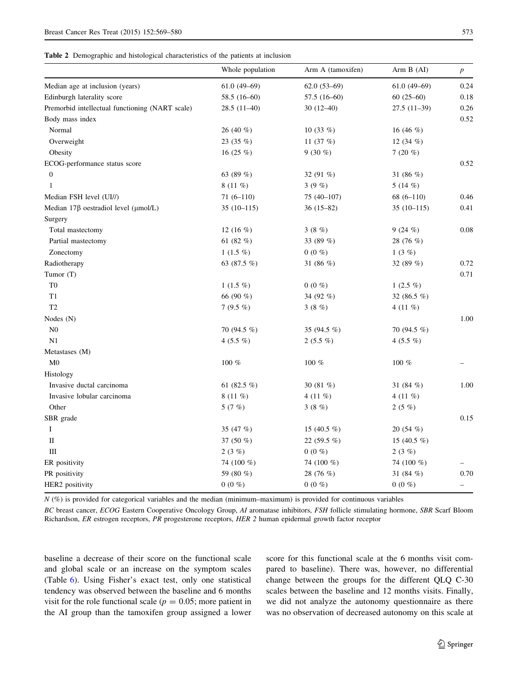<span id="page-4-0"></span>Table 2 Demographic and histological characteristics of the patients at inclusion

|                                                  | Whole population | Arm A (tamoxifen) | Arm B (AI)     | $\boldsymbol{p}$         |
|--------------------------------------------------|------------------|-------------------|----------------|--------------------------|
| Median age at inclusion (years)                  | $61.0(49-69)$    | $62.0(53-69)$     | $61.0(49-69)$  | 0.24                     |
| Edinburgh laterality score                       | $58.5(16-60)$    | $57.5(16-60)$     | $60(25-60)$    | 0.18                     |
| Premorbid intellectual functioning (NART scale)  | $28.5(11-40)$    | $30(12-40)$       | $27.5(11-39)$  | 0.26                     |
| Body mass index                                  |                  |                   |                | 0.52                     |
| Normal                                           | 26 (40 %)        | 10 $(33\%)$       | 16 $(46\%)$    |                          |
| Overweight                                       | 23 $(35\%)$      | 11 $(37%)$        | 12 $(34\%)$    |                          |
| Obesity                                          | 16 $(25 \%)$     | $9(30\%)$         | 7 $(20\%$      |                          |
| ECOG-performance status score                    |                  |                   |                | 0.52                     |
| $\boldsymbol{0}$                                 | 63 $(89\%)$      | 32 $(91\%)$       | 31 $(86\%)$    |                          |
| 1                                                | $8(11\%)$        | 3(9%)             | 5 $(14 \%)$    |                          |
| Median FSH level (UI//)                          | $71(6-110)$      | 75 (40-107)       | $68(6-110)$    | 0.46                     |
| Median $17\beta$ oestradiol level ( $\mu$ mol/L) | $35(10-115)$     | $36(15-82)$       | $35(10-115)$   | 0.41                     |
| Surgery                                          |                  |                   |                |                          |
| Total mastectomy                                 | 12 $(16 \%)$     | 3(8%)             | 9(24%)         | 0.08                     |
| Partial mastectomy                               | 61 $(82\%)$      | 33 (89 %)         | 28 (76 %)      |                          |
| Zonectomy                                        | $1(1.5\%)$       | $0(0\%)$          | 1(3%)          |                          |
| Radiotherapy                                     | 63 (87.5 %)      | 31 (86 %)         | 32 (89 %)      | 0.72                     |
| Tumor (T)                                        |                  |                   |                | 0.71                     |
| T <sub>0</sub>                                   | $1(1.5\%)$       | $0(0\%$           | 1 $(2.5 \%)$   |                          |
| T <sub>1</sub>                                   | 66 (90 %)        | 34 (92 %)         | 32 (86.5 $%$ ) |                          |
| T <sub>2</sub>                                   | 7 $(9.5\%)$      | 3 $(8\%)$         | 4 (11 $%$ )    |                          |
| Nodes (N)                                        |                  |                   |                | 1.00                     |
| ${\rm N0}$                                       | 70 (94.5 %)      | 35 (94.5 %)       | 70 (94.5 %)    |                          |
| N1                                               | 4 $(5.5\%)$      | $2(5.5\%)$        | 4 $(5.5\%)$    |                          |
| Metastases (M)                                   |                  |                   |                |                          |
| M <sub>0</sub>                                   | 100 %            | $100 \%$          | $100~\%$       |                          |
| Histology                                        |                  |                   |                |                          |
| Invasive ductal carcinoma                        | 61 (82.5 %)      | 30 (81 %)         | 31 (84 %)      | 1.00                     |
| Invasive lobular carcinoma                       | $8(11\%)$        | 4 (11 $%$ )       | 4 $(11\%)$     |                          |
| Other                                            | 5 $(7%)$         | 3(8%)             | 2(5%)          |                          |
| SBR grade                                        |                  |                   |                | 0.15                     |
| Ι                                                | 35 (47 %)        | 15 (40.5 $%$ )    | 20(54%)        |                          |
| П                                                | 37 (50 %)        | 22 (59.5 %)       | 15 (40.5 %)    |                          |
| Ш                                                | 2(3%)            | $0(0\%)$          | 2(3%)          |                          |
| ER positivity                                    | 74 (100 %)       | 74 (100 %)        | 74 (100 %)     |                          |
| PR positivity                                    | 59 (80 %)        | 28 (76 %)         | 31 $(84\%)$    | 0.70                     |
| HER2 positivity                                  | $0(0\%)$         | $0(0\%)$          | $0(0\%)$       | $\overline{\phantom{0}}$ |

 $N$  (%) is provided for categorical variables and the median (minimum–maximum) is provided for continuous variables

BC breast cancer, ECOG Eastern Cooperative Oncology Group, AI aromatase inhibitors, FSH follicle stimulating hormone, SBR Scarf Bloom Richardson, ER estrogen receptors, PR progesterone receptors, HER 2 human epidermal growth factor receptor

baseline a decrease of their score on the functional scale and global scale or an increase on the symptom scales (Table [6](#page-8-0)). Using Fisher's exact test, only one statistical tendency was observed between the baseline and 6 months visit for the role functional scale ( $p = 0.05$ ; more patient in the AI group than the tamoxifen group assigned a lower score for this functional scale at the 6 months visit compared to baseline). There was, however, no differential change between the groups for the different QLQ C-30 scales between the baseline and 12 months visits. Finally, we did not analyze the autonomy questionnaire as there was no observation of decreased autonomy on this scale at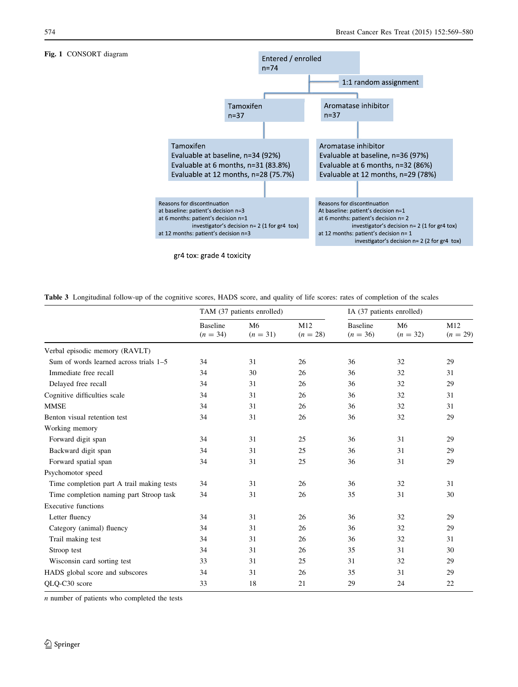#### <span id="page-5-0"></span>Fig. 1 CONSORT diagram



gr4 tox: grade 4 toxicity

Table 3 Longitudinal follow-up of the cognitive scores, HADS score, and quality of life scores: rates of completion of the scales

|                                           | TAM (37 patients enrolled)    |                              |                   | IA (37 patients enrolled)     |                  |                   |
|-------------------------------------------|-------------------------------|------------------------------|-------------------|-------------------------------|------------------|-------------------|
|                                           | <b>Baseline</b><br>$(n = 34)$ | M <sub>6</sub><br>$(n = 31)$ | M12<br>$(n = 28)$ | <b>Baseline</b><br>$(n = 36)$ | M6<br>$(n = 32)$ | M12<br>$(n = 29)$ |
| Verbal episodic memory (RAVLT)            |                               |                              |                   |                               |                  |                   |
| Sum of words learned across trials $1-5$  | 34                            | 31                           | 26                | 36                            | 32               | 29                |
| Immediate free recall                     | 34                            | 30                           | 26                | 36                            | 32               | 31                |
| Delayed free recall                       | 34                            | 31                           | 26                | 36                            | 32               | 29                |
| Cognitive difficulties scale              | 34                            | 31                           | 26                | 36                            | 32               | 31                |
| <b>MMSE</b>                               | 34                            | 31                           | 26                | 36                            | 32               | 31                |
| Benton visual retention test              | 34                            | 31                           | 26                | 36                            | 32               | 29                |
| Working memory                            |                               |                              |                   |                               |                  |                   |
| Forward digit span                        | 34                            | 31                           | 25                | 36                            | 31               | 29                |
| Backward digit span                       | 34                            | 31                           | 25                | 36                            | 31               | 29                |
| Forward spatial span                      | 34                            | 31                           | 25                | 36                            | 31               | 29                |
| Psychomotor speed                         |                               |                              |                   |                               |                  |                   |
| Time completion part A trail making tests | 34                            | 31                           | 26                | 36                            | 32               | 31                |
| Time completion naming part Stroop task   | 34                            | 31                           | 26                | 35                            | 31               | 30                |
| <b>Executive functions</b>                |                               |                              |                   |                               |                  |                   |
| Letter fluency                            | 34                            | 31                           | 26                | 36                            | 32               | 29                |
| Category (animal) fluency                 | 34                            | 31                           | 26                | 36                            | 32               | 29                |
| Trail making test                         | 34                            | 31                           | 26                | 36                            | 32               | 31                |
| Stroop test                               | 34                            | 31                           | 26                | 35                            | 31               | 30                |
| Wisconsin card sorting test               | 33                            | 31                           | 25                | 31                            | 32               | 29                |
| HADS global score and subscores           | 34                            | 31                           | 26                | 35                            | 31               | 29                |
| OLO-C30 score                             | 33                            | 18                           | 21                | 29                            | 24               | 22                |

 $n$  number of patients who completed the tests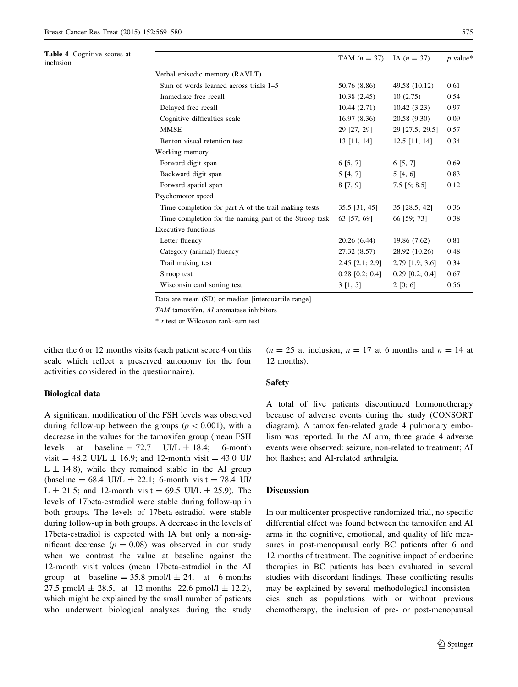<span id="page-6-0"></span>

| <b>Table 4</b> Cognitive scores at<br>inclusion |                                                        | TAM $(n = 37)$ IA $(n = 37)$ |                   | $p$ value* |  |  |  |
|-------------------------------------------------|--------------------------------------------------------|------------------------------|-------------------|------------|--|--|--|
|                                                 | Verbal episodic memory (RAVLT)                         |                              |                   |            |  |  |  |
|                                                 | Sum of words learned across trials 1–5                 | 50.76 (8.86)                 | 49.58 (10.12)     | 0.61       |  |  |  |
|                                                 | Immediate free recall                                  | 10.38(2.45)                  | 10(2.75)          | 0.54       |  |  |  |
|                                                 | Delayed free recall                                    | 10.44(2.71)                  | 10.42(3.23)       | 0.97       |  |  |  |
|                                                 | Cognitive difficulties scale                           | 16.97(8.36)                  | 20.58 (9.30)      | 0.09       |  |  |  |
|                                                 | <b>MMSE</b>                                            | 29 [27, 29]                  | 29 [27.5; 29.5]   | 0.57       |  |  |  |
|                                                 | Benton visual retention test                           | 13 [11, 14]                  | $12.5$ [11, 14]   | 0.34       |  |  |  |
|                                                 | Working memory                                         |                              |                   |            |  |  |  |
|                                                 | Forward digit span                                     | 6[5, 7]                      | 6[5, 7]           | 0.69       |  |  |  |
|                                                 | Backward digit span                                    | 5[4, 7]                      | 5[4, 6]           | 0.83       |  |  |  |
|                                                 | Forward spatial span                                   | 8[7, 9]                      | $7.5$ [6; 8.5]    | 0.12       |  |  |  |
|                                                 | Psychomotor speed                                      |                              |                   |            |  |  |  |
|                                                 | Time completion for part A of the trail making tests   | $35.5$ [31, 45]              | 35 [28.5; 42]     | 0.36       |  |  |  |
|                                                 | Time completion for the naming part of the Stroop task | 63 [57; 69]                  | 66 [59; 73]       | 0.38       |  |  |  |
|                                                 | <b>Executive functions</b>                             |                              |                   |            |  |  |  |
|                                                 | Letter fluency                                         | 20.26(6.44)                  | 19.86 (7.62)      | 0.81       |  |  |  |
|                                                 | Category (animal) fluency                              | 27.32 (8.57)                 | 28.92 (10.26)     | 0.48       |  |  |  |
|                                                 | Trail making test                                      | $2.45$ [ $2.1$ ; $2.9$ ]     | $2.79$ [1.9; 3.6] | 0.34       |  |  |  |
|                                                 | Stroop test                                            | $0.28$ [0.2; 0.4]            | $0.29$ [0.2; 0.4] | 0.67       |  |  |  |
|                                                 | Wisconsin card sorting test                            | 3 [1, 5]                     | 2 [0; 6]          | 0.56       |  |  |  |

Data are mean (SD) or median [interquartile range]

TAM tamoxifen, AI aromatase inhibitors

 $*$  t test or Wilcoxon rank-sum test

either the 6 or 12 months visits (each patient score 4 on this scale which reflect a preserved autonomy for the four activities considered in the questionnaire).

#### Biological data

A significant modification of the FSH levels was observed during follow-up between the groups ( $p < 0.001$ ), with a decrease in the values for the tamoxifen group (mean FSH levels at baseline  $= 72.7$  UI/L  $\pm$  18.4; 6-month visit = 48.2 UI/L  $\pm$  16.9; and 12-month visit = 43.0 UI/  $L \pm 14.8$ ), while they remained stable in the AI group  $(baseline = 68.4 \text{ UI/L} \pm 22.1$ ; 6-month visit = 78.4 UI/  $L \pm 21.5$ ; and 12-month visit = 69.5 UI/L  $\pm$  25.9). The levels of 17beta-estradiol were stable during follow-up in both groups. The levels of 17beta-estradiol were stable during follow-up in both groups. A decrease in the levels of 17beta-estradiol is expected with IA but only a non-significant decrease  $(p = 0.08)$  was observed in our study when we contrast the value at baseline against the 12-month visit values (mean 17beta-estradiol in the AI group at baseline =  $35.8$  pmol/l  $\pm 24$ , at 6 months 27.5 pmol/l  $\pm$  28.5, at 12 months 22.6 pmol/l  $\pm$  12.2), which might be explained by the small number of patients who underwent biological analyses during the study

 $(n = 25$  at inclusion,  $n = 17$  at 6 months and  $n = 14$  at 12 months).

### Safety

A total of five patients discontinued hormonotherapy because of adverse events during the study (CONSORT diagram). A tamoxifen-related grade 4 pulmonary embolism was reported. In the AI arm, three grade 4 adverse events were observed: seizure, non-related to treatment; AI hot flashes; and AI-related arthralgia.

## **Discussion**

In our multicenter prospective randomized trial, no specific differential effect was found between the tamoxifen and AI arms in the cognitive, emotional, and quality of life measures in post-menopausal early BC patients after 6 and 12 months of treatment. The cognitive impact of endocrine therapies in BC patients has been evaluated in several studies with discordant findings. These conflicting results may be explained by several methodological inconsistencies such as populations with or without previous chemotherapy, the inclusion of pre- or post-menopausal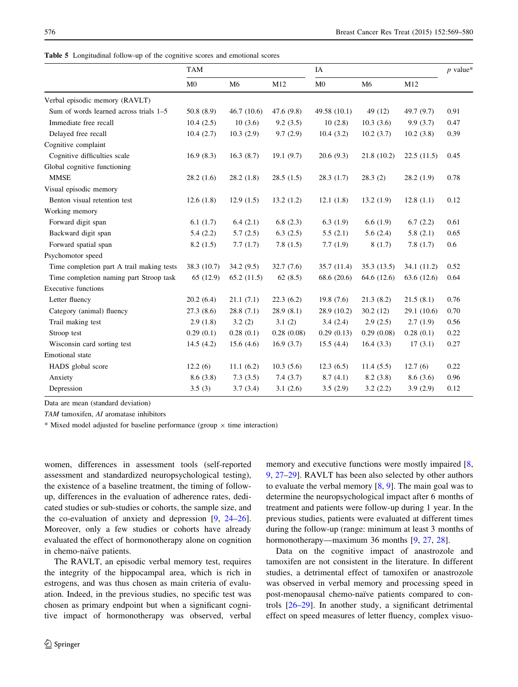<span id="page-7-0"></span>Table 5 Longitudinal follow-up of the cognitive scores and emotional scores

|                                           | <b>TAM</b>     |                |            | IA             |                |             | $p$ value* |
|-------------------------------------------|----------------|----------------|------------|----------------|----------------|-------------|------------|
|                                           | M <sub>0</sub> | M <sub>6</sub> | M12        | M <sub>0</sub> | M <sub>6</sub> | M12         |            |
| Verbal episodic memory (RAVLT)            |                |                |            |                |                |             |            |
| Sum of words learned across trials 1–5    | 50.8(8.9)      | 46.7(10.6)     | 47.6(9.8)  | 49.58 (10.1)   | 49 (12)        | 49.7(9.7)   | 0.91       |
| Immediate free recall                     | 10.4(2.5)      | 10(3.6)        | 9.2(3.5)   | 10(2.8)        | 10.3(3.6)      | 9.9(3.7)    | 0.47       |
| Delayed free recall                       | 10.4(2.7)      | 10.3(2.9)      | 9.7(2.9)   | 10.4(3.2)      | 10.2(3.7)      | 10.2(3.8)   | 0.39       |
| Cognitive complaint                       |                |                |            |                |                |             |            |
| Cognitive difficulties scale              | 16.9(8.3)      | 16.3(8.7)      | 19.1(9.7)  | 20.6(9.3)      | 21.8(10.2)     | 22.5(11.5)  | 0.45       |
| Global cognitive functioning              |                |                |            |                |                |             |            |
| <b>MMSE</b>                               | 28.2(1.6)      | 28.2(1.8)      | 28.5(1.5)  | 28.3(1.7)      | 28.3(2)        | 28.2(1.9)   | 0.78       |
| Visual episodic memory                    |                |                |            |                |                |             |            |
| Benton visual retention test              | 12.6(1.8)      | 12.9(1.5)      | 13.2(1.2)  | 12.1(1.8)      | 13.2(1.9)      | 12.8(1.1)   | 0.12       |
| Working memory                            |                |                |            |                |                |             |            |
| Forward digit span                        | 6.1(1.7)       | 6.4(2.1)       | 6.8(2.3)   | 6.3(1.9)       | 6.6(1.9)       | 6.7(2.2)    | 0.61       |
| Backward digit span                       | 5.4(2.2)       | 5.7(2.5)       | 6.3(2.5)   | 5.5(2.1)       | 5.6(2.4)       | 5.8(2.1)    | 0.65       |
| Forward spatial span                      | 8.2(1.5)       | 7.7(1.7)       | 7.8(1.5)   | 7.7(1.9)       | 8(1.7)         | 7.8(1.7)    | 0.6        |
| Psychomotor speed                         |                |                |            |                |                |             |            |
| Time completion part A trail making tests | 38.3 (10.7)    | 34.2(9.5)      | 32.7(7.6)  | 35.7(11.4)     | 35.3(13.5)     | 34.1 (11.2) | 0.52       |
| Time completion naming part Stroop task   | 65 (12.9)      | 65.2(11.5)     | 62(8.5)    | 68.6 (20.6)    | 64.6 (12.6)    | 63.6 (12.6) | 0.64       |
| <b>Executive functions</b>                |                |                |            |                |                |             |            |
| Letter fluency                            | 20.2(6.4)      | 21.1(7.1)      | 22.3(6.2)  | 19.8(7.6)      | 21.3(8.2)      | 21.5(8.1)   | 0.76       |
| Category (animal) fluency                 | 27.3(8.6)      | 28.8(7.1)      | 28.9(8.1)  | 28.9 (10.2)    | 30.2(12)       | 29.1 (10.6) | 0.70       |
| Trail making test                         | 2.9(1.8)       | 3.2(2)         | 3.1(2)     | 3.4(2.4)       | 2.9(2.5)       | 2.7(1.9)    | 0.56       |
| Stroop test                               | 0.29(0.1)      | 0.28(0.1)      | 0.28(0.08) | 0.29(0.13)     | 0.29(0.08)     | 0.28(0.1)   | 0.22       |
| Wisconsin card sorting test               | 14.5(4.2)      | 15.6(4.6)      | 16.9(3.7)  | 15.5(4.4)      | 16.4(3.3)      | 17(3.1)     | 0.27       |
| Emotional state                           |                |                |            |                |                |             |            |
| HADS global score                         | 12.2(6)        | 11.1(6.2)      | 10.3(5.6)  | 12.3(6.5)      | 11.4(5.5)      | 12.7(6)     | 0.22       |
| Anxiety                                   | 8.6(3.8)       | 7.3(3.5)       | 7.4(3.7)   | 8.7(4.1)       | 8.2(3.8)       | 8.6(3.6)    | 0.96       |
| Depression                                | 3.5(3)         | 3.7(3.4)       | 3.1(2.6)   | 3.5(2.9)       | 3.2(2.2)       | 3.9(2.9)    | 0.12       |

Data are mean (standard deviation)

TAM tamoxifen, AI aromatase inhibitors

 $*$  Mixed model adjusted for baseline performance (group  $\times$  time interaction)

women, differences in assessment tools (self-reported assessment and standardized neuropsychological testing), the existence of a baseline treatment, the timing of followup, differences in the evaluation of adherence rates, dedicated studies or sub-studies or cohorts, the sample size, and the co-evaluation of anxiety and depression [[9,](#page-10-0) [24–26](#page-10-0)]. Moreover, only a few studies or cohorts have already evaluated the effect of hormonotherapy alone on cognition in chemo-naïve patients.

The RAVLT, an episodic verbal memory test, requires the integrity of the hippocampal area, which is rich in estrogens, and was thus chosen as main criteria of evaluation. Indeed, in the previous studies, no specific test was chosen as primary endpoint but when a significant cognitive impact of hormonotherapy was observed, verbal

memory and executive functions were mostly impaired [[8,](#page-10-0) [9](#page-10-0), [27–29](#page-10-0)]. RAVLT has been also selected by other authors to evaluate the verbal memory [\[8](#page-10-0), [9](#page-10-0)]. The main goal was to determine the neuropsychological impact after 6 months of treatment and patients were follow-up during 1 year. In the previous studies, patients were evaluated at different times during the follow-up (range: minimum at least 3 months of hormonotherapy—maximum 36 months [[9,](#page-10-0) [27](#page-10-0), [28](#page-10-0)].

Data on the cognitive impact of anastrozole and tamoxifen are not consistent in the literature. In different studies, a detrimental effect of tamoxifen or anastrozole was observed in verbal memory and processing speed in post-menopausal chemo-naïve patients compared to controls [[26–29\]](#page-10-0). In another study, a significant detrimental effect on speed measures of letter fluency, complex visuo-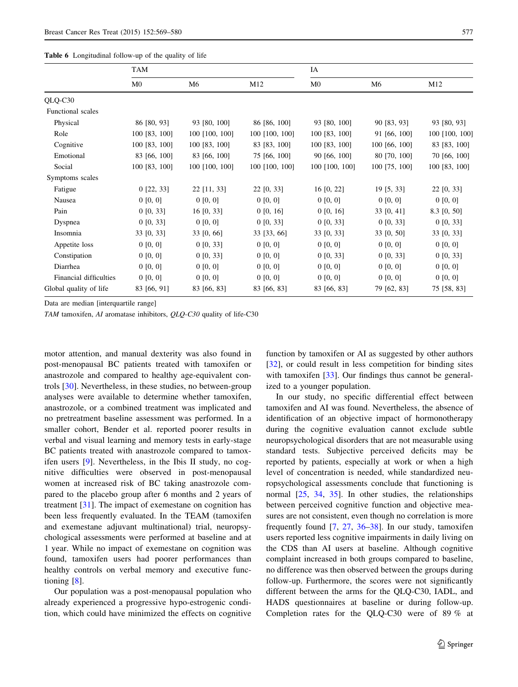<span id="page-8-0"></span>

|                        | <b>TAM</b>     |                |                | IA             |                |                |
|------------------------|----------------|----------------|----------------|----------------|----------------|----------------|
|                        | M <sub>0</sub> | M <sub>6</sub> | M12            | M <sub>0</sub> | M <sub>6</sub> | M12            |
| QLQ-C30                |                |                |                |                |                |                |
| Functional scales      |                |                |                |                |                |                |
| Physical               | 86 [80, 93]    | 93 [80, 100]   | 86 [86, 100]   | 93 [80, 100]   | 90 [83, 93]    | 93 [80, 93]    |
| Role                   | 100 [83, 100]  | 100 [100, 100] | 100 [100, 100] | 100 [83, 100]  | 91 [66, 100]   | 100 [100, 100] |
| Cognitive              | 100 [83, 100]  | 100 [83, 100]  | 83 [83, 100]   | 100 [83, 100]  | 100 [66, 100]  | 83 [83, 100]   |
| Emotional              | 83 [66, 100]   | 83 [66, 100]   | 75 [66, 100]   | 90 [66, 100]   | 80 [70, 100]   | 70 [66, 100]   |
| Social                 | 100 [83, 100]  | 100 [100, 100] | 100 [100, 100] | 100 [100, 100] | 100 [75, 100]  | 100 [83, 100]  |
| Symptoms scales        |                |                |                |                |                |                |
| Fatigue                | $0$ [22, 33]   | $22$ [11, 33]  | 22 [0, 33]     | $16$ [0, 22]   | 19 [5, 33]     | 22 [0, 33]     |
| Nausea                 | 0 [0, 0]       | 0 [0, 0]       | 0 [0, 0]       | 0 [0, 0]       | 0 [0, 0]       | 0 [0, 0]       |
| Pain                   | 0 [0, 33]      | 16 [0, 33]     | 0 [0, 16]      | 0 [0, 16]      | 33 [0, 41]     | 8.3 [0, 50]    |
| Dyspnea                | 0 [0, 33]      | 0 [0, 0]       | 0 [0, 33]      | $0$ [0, 33]    | 0 [0, 33]      | 0 [0, 33]      |
| Insomnia               | 33 [0, 33]     | 33 [0, 66]     | 33 [33, 66]    | 33 [0, 33]     | 33 [0, 50]     | 33 [0, 33]     |
| Appetite loss          | 0 [0, 0]       | $0$ [0, 33]    | 0 [0, 0]       | 0 [0, 0]       | 0 [0, 0]       | 0 [0, 0]       |
| Constipation           | 0 [0, 0]       | 0 [0, 33]      | 0 [0, 0]       | $0$ [0, 33]    | 0 [0, 33]      | 0 [0, 33]      |
| Diarrhea               | 0 [0, 0]       | 0 [0, 0]       | 0 [0, 0]       | 0 [0, 0]       | 0 [0, 0]       | 0 [0, 0]       |
| Financial difficulties | 0 [0, 0]       | 0 [0, 0]       | 0 [0, 0]       | 0 [0, 0]       | 0 [0, 0]       | 0 [0, 0]       |
| Global quality of life | 83 [66, 91]    | 83 [66, 83]    | 83 [66, 83]    | 83 [66, 83]    | 79 [62, 83]    | 75 [58, 83]    |

Data are median [interquartile range]

TAM tamoxifen, AI aromatase inhibitors, QLQ-C30 quality of life-C30

motor attention, and manual dexterity was also found in post-menopausal BC patients treated with tamoxifen or anastrozole and compared to healthy age-equivalent controls [[30\]](#page-10-0). Nevertheless, in these studies, no between-group analyses were available to determine whether tamoxifen, anastrozole, or a combined treatment was implicated and no pretreatment baseline assessment was performed. In a smaller cohort, Bender et al. reported poorer results in verbal and visual learning and memory tests in early-stage BC patients treated with anastrozole compared to tamoxifen users [\[9](#page-10-0)]. Nevertheless, in the Ibis II study, no cognitive difficulties were observed in post-menopausal women at increased risk of BC taking anastrozole compared to the placebo group after 6 months and 2 years of treatment [\[31\]](#page-10-0). The impact of exemestane on cognition has been less frequently evaluated. In the TEAM (tamoxifen and exemestane adjuvant multinational) trial, neuropsychological assessments were performed at baseline and at 1 year. While no impact of exemestane on cognition was found, tamoxifen users had poorer performances than healthy controls on verbal memory and executive functioning [\[8](#page-10-0)].

Our population was a post-menopausal population who already experienced a progressive hypo-estrogenic condition, which could have minimized the effects on cognitive

function by tamoxifen or AI as suggested by other authors [\[32](#page-10-0)], or could result in less competition for binding sites with tamoxifen [[33\]](#page-10-0). Our findings thus cannot be generalized to a younger population.

In our study, no specific differential effect between tamoxifen and AI was found. Nevertheless, the absence of identification of an objective impact of hormonotherapy during the cognitive evaluation cannot exclude subtle neuropsychological disorders that are not measurable using standard tests. Subjective perceived deficits may be reported by patients, especially at work or when a high level of concentration is needed, while standardized neuropsychological assessments conclude that functioning is normal [\[25](#page-10-0), [34](#page-10-0), [35\]](#page-10-0). In other studies, the relationships between perceived cognitive function and objective measures are not consistent, even though no correlation is more frequently found [\[7](#page-10-0), [27,](#page-10-0) [36–38](#page-10-0)]. In our study, tamoxifen users reported less cognitive impairments in daily living on the CDS than AI users at baseline. Although cognitive complaint increased in both groups compared to baseline, no difference was then observed between the groups during follow-up. Furthermore, the scores were not significantly different between the arms for the QLQ-C30, IADL, and HADS questionnaires at baseline or during follow-up. Completion rates for the QLQ-C30 were of 89 % at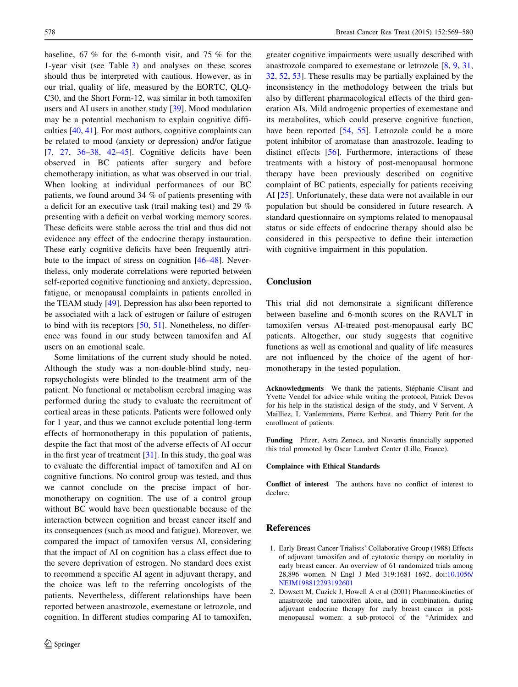<span id="page-9-0"></span>baseline, 67 % for the 6-month visit, and 75 % for the 1-year visit (see Table [3](#page-5-0)) and analyses on these scores should thus be interpreted with cautious. However, as in our trial, quality of life, measured by the EORTC, QLQ-C30, and the Short Form-12, was similar in both tamoxifen users and AI users in another study [[39\]](#page-10-0). Mood modulation may be a potential mechanism to explain cognitive difficulties [\[40](#page-10-0), [41](#page-11-0)]. For most authors, cognitive complaints can be related to mood (anxiety or depression) and/or fatigue [\[7](#page-10-0), [27](#page-10-0), [36–38,](#page-10-0) [42–45](#page-11-0)]. Cognitive deficits have been observed in BC patients after surgery and before chemotherapy initiation, as what was observed in our trial. When looking at individual performances of our BC patients, we found around 34 % of patients presenting with a deficit for an executive task (trail making test) and 29 % presenting with a deficit on verbal working memory scores. These deficits were stable across the trial and thus did not evidence any effect of the endocrine therapy instauration. These early cognitive deficits have been frequently attribute to the impact of stress on cognition [[46–48\]](#page-11-0). Nevertheless, only moderate correlations were reported between self-reported cognitive functioning and anxiety, depression, fatigue, or menopausal complaints in patients enrolled in the TEAM study [[49\]](#page-11-0). Depression has also been reported to be associated with a lack of estrogen or failure of estrogen to bind with its receptors [[50,](#page-11-0) [51](#page-11-0)]. Nonetheless, no difference was found in our study between tamoxifen and AI users on an emotional scale.

Some limitations of the current study should be noted. Although the study was a non-double-blind study, neuropsychologists were blinded to the treatment arm of the patient. No functional or metabolism cerebral imaging was performed during the study to evaluate the recruitment of cortical areas in these patients. Patients were followed only for 1 year, and thus we cannot exclude potential long-term effects of hormonotherapy in this population of patients, despite the fact that most of the adverse effects of AI occur in the first year of treatment  $[31]$  $[31]$ . In this study, the goal was to evaluate the differential impact of tamoxifen and AI on cognitive functions. No control group was tested, and thus we cannot conclude on the precise impact of hormonotherapy on cognition. The use of a control group without BC would have been questionable because of the interaction between cognition and breast cancer itself and its consequences (such as mood and fatigue). Moreover, we compared the impact of tamoxifen versus AI, considering that the impact of AI on cognition has a class effect due to the severe deprivation of estrogen. No standard does exist to recommend a specific AI agent in adjuvant therapy, and the choice was left to the referring oncologists of the patients. Nevertheless, different relationships have been reported between anastrozole, exemestane or letrozole, and cognition. In different studies comparing AI to tamoxifen,

greater cognitive impairments were usually described with anastrozole compared to exemestane or letrozole [[8,](#page-10-0) [9](#page-10-0), [31,](#page-10-0) [32](#page-10-0), [52](#page-11-0), [53](#page-11-0)]. These results may be partially explained by the inconsistency in the methodology between the trials but also by different pharmacological effects of the third generation AIs. Mild androgenic properties of exemestane and its metabolites, which could preserve cognitive function, have been reported [\[54,](#page-11-0) [55\]](#page-11-0). Letrozole could be a more potent inhibitor of aromatase than anastrozole, leading to distinct effects [\[56](#page-11-0)]. Furthermore, interactions of these treatments with a history of post-menopausal hormone therapy have been previously described on cognitive complaint of BC patients, especially for patients receiving AI [[25\]](#page-10-0). Unfortunately, these data were not available in our population but should be considered in future research. A standard questionnaire on symptoms related to menopausal status or side effects of endocrine therapy should also be considered in this perspective to define their interaction with cognitive impairment in this population.

### Conclusion

This trial did not demonstrate a significant difference between baseline and 6-month scores on the RAVLT in tamoxifen versus AI-treated post-menopausal early BC patients. Altogether, our study suggests that cognitive functions as well as emotional and quality of life measures are not influenced by the choice of the agent of hormonotherapy in the tested population.

Acknowledgments We thank the patients, Stéphanie Clisant and Yvette Vendel for advice while writing the protocol, Patrick Devos for his help in the statistical design of the study, and V Servent, A Mailliez, L Vanlemmens, Pierre Kerbrat, and Thierry Petit for the enrollment of patients.

Funding Pfizer, Astra Zeneca, and Novartis financially supported this trial promoted by Oscar Lambret Center (Lille, France).

#### Complaince with Ethical Standards

Conflict of interest The authors have no conflict of interest to declare.

#### References

- 1. Early Breast Cancer Trialists' Collaborative Group (1988) Effects of adjuvant tamoxifen and of cytotoxic therapy on mortality in early breast cancer. An overview of 61 randomized trials among 28,896 women. N Engl J Med 319:1681–1692. doi[:10.1056/](http://dx.doi.org/10.1056/NEJM198812293192601) [NEJM198812293192601](http://dx.doi.org/10.1056/NEJM198812293192601)
- 2. Dowsett M, Cuzick J, Howell A et al (2001) Pharmacokinetics of anastrozole and tamoxifen alone, and in combination, during adjuvant endocrine therapy for early breast cancer in postmenopausal women: a sub-protocol of the ''Arimidex and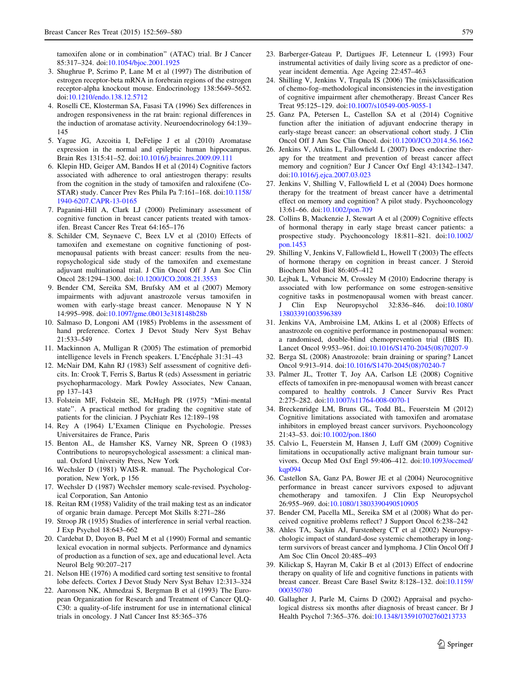<span id="page-10-0"></span>tamoxifen alone or in combination'' (ATAC) trial. Br J Cancer 85:317–324. doi[:10.1054/bjoc.2001.1925](http://dx.doi.org/10.1054/bjoc.2001.1925)

- 3. Shughrue P, Scrimo P, Lane M et al (1997) The distribution of estrogen receptor-beta mRNA in forebrain regions of the estrogen receptor-alpha knockout mouse. Endocrinology 138:5649–5652. doi:[10.1210/endo.138.12.5712](http://dx.doi.org/10.1210/endo.138.12.5712)
- 4. Roselli CE, Klosterman SA, Fasasi TA (1996) Sex differences in androgen responsiveness in the rat brain: regional differences in the induction of aromatase activity. Neuroendocrinology 64:139– 145
- 5. Yague JG, Azcoitia I, DeFelipe J et al (2010) Aromatase expression in the normal and epileptic human hippocampus. Brain Res 1315:41–52. doi:[10.1016/j.brainres.2009.09.111](http://dx.doi.org/10.1016/j.brainres.2009.09.111)
- 6. Klepin HD, Geiger AM, Bandos H et al (2014) Cognitive factors associated with adherence to oral antiestrogen therapy: results from the cognition in the study of tamoxifen and raloxifene (Co-STAR) study. Cancer Prev Res Phila Pa 7:161–168. doi[:10.1158/](http://dx.doi.org/10.1158/1940-6207.CAPR-13-0165) [1940-6207.CAPR-13-0165](http://dx.doi.org/10.1158/1940-6207.CAPR-13-0165)
- 7. Paganini-Hill A, Clark LJ (2000) Preliminary assessment of cognitive function in breast cancer patients treated with tamoxifen. Breast Cancer Res Treat 64:165–176
- 8. Schilder CM, Seynaeve C, Beex LV et al (2010) Effects of tamoxifen and exemestane on cognitive functioning of postmenopausal patients with breast cancer: results from the neuropsychological side study of the tamoxifen and exemestane adjuvant multinational trial. J Clin Oncol Off J Am Soc Clin Oncol 28:1294–1300. doi[:10.1200/JCO.2008.21.3553](http://dx.doi.org/10.1200/JCO.2008.21.3553)
- 9. Bender CM, Sereika SM, Brufsky AM et al (2007) Memory impairments with adjuvant anastrozole versus tamoxifen in women with early-stage breast cancer. Menopause N Y N 14:995–998. doi[:10.1097/gme.0b013e318148b28b](http://dx.doi.org/10.1097/gme.0b013e318148b28b)
- 10. Salmaso D, Longoni AM (1985) Problems in the assessment of hand preference. Cortex J Devot Study Nerv Syst Behav 21:533–549
- 11. Mackinnon A, Mulligan R (2005) The estimation of premorbid intelligence levels in French speakers. L'Encéphale 31:31–43
- 12. McNair DM, Kahn RJ (1983) Self assessment of cognitive deficits. In: Crook T, Ferris S, Bartus R (eds) Assessment in geriatric psychopharmacology. Mark Powley Associates, New Canaan, pp 137–143
- 13. Folstein MF, Folstein SE, McHugh PR (1975) ''Mini-mental state''. A practical method for grading the cognitive state of patients for the clinician. J Psychiatr Res 12:189–198
- 14. Rey A (1964) L'Examen Clinique en Psychologie. Presses Universitaires de France, Paris
- 15. Benton AL, de Hamsher KS, Varney NR, Spreen O (1983) Contributions to neuropsychological assessment: a clinical manual. Oxford University Press, New York
- 16. Wechsler D (1981) WAIS-R. manual. The Psychological Corporation, New York, p 156
- 17. Wechsler D (1987) Wechsler memory scale-revised. Psychological Corporation, San Antonio
- 18. Reitan RM (1958) Validity of the trail making test as an indicator of organic brain damage. Percept Mot Skills 8:271–286
- 19. Stroop JR (1935) Studies of interference in serial verbal reaction. J Exp Psychol 18:643–662
- 20. Cardebat D, Doyon B, Puel M et al (1990) Formal and semantic lexical evocation in normal subjects. Performance and dynamics of production as a function of sex, age and educational level. Acta Neurol Belg 90:207–217
- 21. Nelson HE (1976) A modified card sorting test sensitive to frontal lobe defects. Cortex J Devot Study Nerv Syst Behav 12:313–324
- 22. Aaronson NK, Ahmedzai S, Bergman B et al (1993) The European Organization for Research and Treatment of Cancer QLQ-C30: a quality-of-life instrument for use in international clinical trials in oncology. J Natl Cancer Inst 85:365–376
- 23. Barberger-Gateau P, Dartigues JF, Letenneur L (1993) Four instrumental activities of daily living score as a predictor of oneyear incident dementia. Age Ageing 22:457–463
- 24. Shilling V, Jenkins V, Trapala IS (2006) The (mis)classification of chemo-fog–methodological inconsistencies in the investigation of cognitive impairment after chemotherapy. Breast Cancer Res Treat 95:125–129. doi[:10.1007/s10549-005-9055-1](http://dx.doi.org/10.1007/s10549-005-9055-1)
- 25. Ganz PA, Petersen L, Castellon SA et al (2014) Cognitive function after the initiation of adjuvant endocrine therapy in early-stage breast cancer: an observational cohort study. J Clin Oncol Off J Am Soc Clin Oncol. doi:[10.1200/JCO.2014.56.1662](http://dx.doi.org/10.1200/JCO.2014.56.1662)
- 26. Jenkins V, Atkins L, Fallowfield L (2007) Does endocrine therapy for the treatment and prevention of breast cancer affect memory and cognition? Eur J Cancer Oxf Engl 43:1342–1347. doi:[10.1016/j.ejca.2007.03.023](http://dx.doi.org/10.1016/j.ejca.2007.03.023)
- 27. Jenkins V, Shilling V, Fallowfield L et al (2004) Does hormone therapy for the treatment of breast cancer have a detrimental effect on memory and cognition? A pilot study. Psychooncology 13:61–66. doi:[10.1002/pon.709](http://dx.doi.org/10.1002/pon.709)
- 28. Collins B, Mackenzie J, Stewart A et al (2009) Cognitive effects of hormonal therapy in early stage breast cancer patients: a prospective study. Psychooncology 18:811–821. doi[:10.1002/](http://dx.doi.org/10.1002/pon.1453) [pon.1453](http://dx.doi.org/10.1002/pon.1453)
- 29. Shilling V, Jenkins V, Fallowfield L, Howell T (2003) The effects of hormone therapy on cognition in breast cancer. J Steroid Biochem Mol Biol 86:405–412
- 30. Lejbak L, Vrbancic M, Crossley M (2010) Endocrine therapy is associated with low performance on some estrogen-sensitive cognitive tasks in postmenopausal women with breast cancer. J Clin Exp Neuropsychol 32:836–846. doi[:10.1080/](http://dx.doi.org/10.1080/13803391003596389) [13803391003596389](http://dx.doi.org/10.1080/13803391003596389)
- 31. Jenkins VA, Ambroisine LM, Atkins L et al (2008) Effects of anastrozole on cognitive performance in postmenopausal women: a randomised, double-blind chemoprevention trial (IBIS II). Lancet Oncol 9:953–961. doi:[10.1016/S1470-2045\(08\)70207-9](http://dx.doi.org/10.1016/S1470-2045(08)70207-9)
- 32. Berga SL (2008) Anastrozole: brain draining or sparing? Lancet Oncol 9:913–914. doi:[10.1016/S1470-2045\(08\)70240-7](http://dx.doi.org/10.1016/S1470-2045(08)70240-7)
- 33. Palmer JL, Trotter T, Joy AA, Carlson LE (2008) Cognitive effects of tamoxifen in pre-menopausal women with breast cancer compared to healthy controls. J Cancer Surviv Res Pract 2:275–282. doi[:10.1007/s11764-008-0070-1](http://dx.doi.org/10.1007/s11764-008-0070-1)
- 34. Breckenridge LM, Bruns GL, Todd BL, Feuerstein M (2012) Cognitive limitations associated with tamoxifen and aromatase inhibitors in employed breast cancer survivors. Psychooncology 21:43–53. doi:[10.1002/pon.1860](http://dx.doi.org/10.1002/pon.1860)
- 35. Calvio L, Feuerstein M, Hansen J, Luff GM (2009) Cognitive limitations in occupationally active malignant brain tumour survivors. Occup Med Oxf Engl 59:406–412. doi:[10.1093/occmed/](http://dx.doi.org/10.1093/occmed/kqp094) [kqp094](http://dx.doi.org/10.1093/occmed/kqp094)
- 36. Castellon SA, Ganz PA, Bower JE et al (2004) Neurocognitive performance in breast cancer survivors exposed to adjuvant chemotherapy and tamoxifen. J Clin Exp Neuropsychol 26:955–969. doi[:10.1080/13803390490510905](http://dx.doi.org/10.1080/13803390490510905)
- 37. Bender CM, Pacella ML, Sereika SM et al (2008) What do perceived cognitive problems reflect? J Support Oncol 6:238–242
- 38. Ahles TA, Saykin AJ, Furstenberg CT et al (2002) Neuropsychologic impact of standard-dose systemic chemotherapy in longterm survivors of breast cancer and lymphoma. J Clin Oncol Off J Am Soc Clin Oncol 20:485–493
- 39. Kilickap S, Hayran M, Cakir B et al (2013) Effect of endocrine therapy on quality of life and cognitive functions in patients with breast cancer. Breast Care Basel Switz 8:128–132. doi[:10.1159/](http://dx.doi.org/10.1159/000350780) [000350780](http://dx.doi.org/10.1159/000350780)
- 40. Gallagher J, Parle M, Cairns D (2002) Appraisal and psychological distress six months after diagnosis of breast cancer. Br J Health Psychol 7:365–376. doi[:10.1348/135910702760213733](http://dx.doi.org/10.1348/135910702760213733)